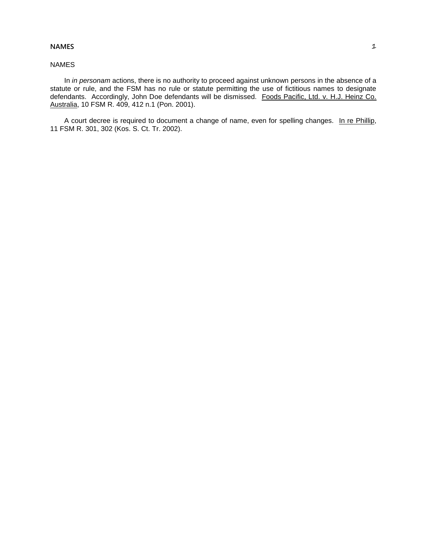## **NAMES** 1

## NAMES

In *in personam* actions, there is no authority to proceed against unknown persons in the absence of a statute or rule, and the FSM has no rule or statute permitting the use of fictitious names to designate defendants. Accordingly, John Doe defendants will be dismissed. Foods Pacific, Ltd. v. H.J. Heinz Co. Australia, 10 FSM R. 409, 412 n.1 (Pon. 2001).

A court decree is required to document a change of name, even for spelling changes. In re Phillip, 11 FSM R. 301, 302 (Kos. S. Ct. Tr. 2002).